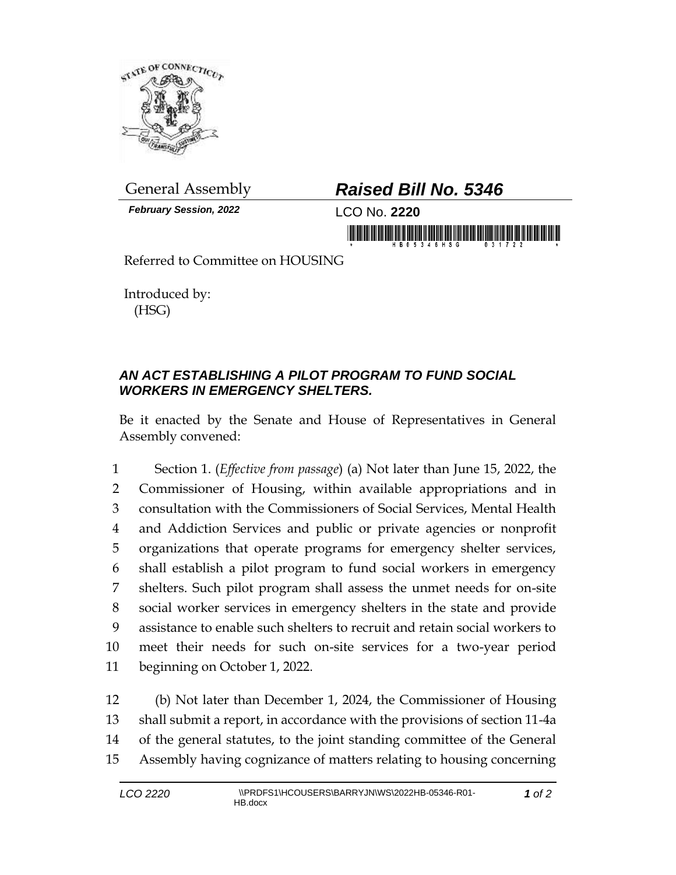

*February Session, 2022* LCO No. **2220**

## General Assembly *Raised Bill No. 5346*

in morning friends in the fight of the state of the state of the state of the state of the state of the state o

Referred to Committee on HOUSING

Introduced by: (HSG)

## *AN ACT ESTABLISHING A PILOT PROGRAM TO FUND SOCIAL WORKERS IN EMERGENCY SHELTERS.*

Be it enacted by the Senate and House of Representatives in General Assembly convened:

 Section 1. (*Effective from passage*) (a) Not later than June 15, 2022, the Commissioner of Housing, within available appropriations and in consultation with the Commissioners of Social Services, Mental Health and Addiction Services and public or private agencies or nonprofit organizations that operate programs for emergency shelter services, shall establish a pilot program to fund social workers in emergency shelters. Such pilot program shall assess the unmet needs for on-site social worker services in emergency shelters in the state and provide assistance to enable such shelters to recruit and retain social workers to meet their needs for such on-site services for a two-year period beginning on October 1, 2022.

 (b) Not later than December 1, 2024, the Commissioner of Housing shall submit a report, in accordance with the provisions of section 11-4a of the general statutes, to the joint standing committee of the General Assembly having cognizance of matters relating to housing concerning